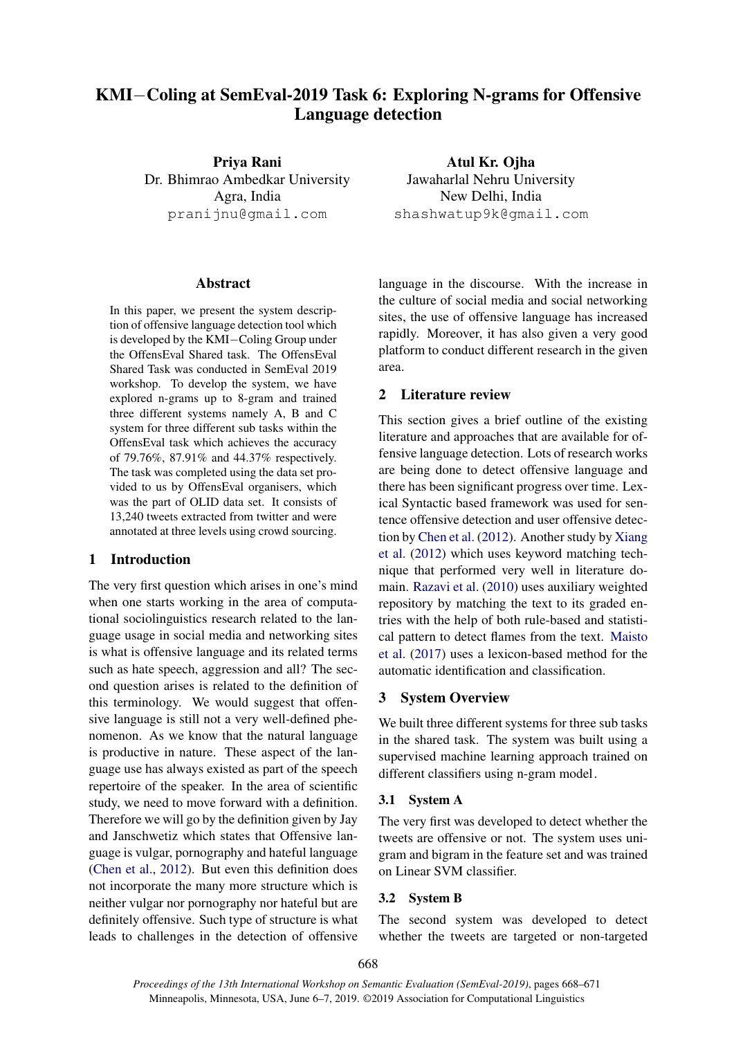# KMI−Coling at SemEval-2019 Task 6: Exploring N-grams for Offensive Language detection

Priya Rani Dr. Bhimrao Ambedkar University Agra, India pranijnu@gmail.com

#### Abstract

In this paper, we present the system description of offensive language detection tool which is developed by the KMI−Coling Group under the OffensEval Shared task. The OffensEval Shared Task was conducted in SemEval 2019 workshop. To develop the system, we have explored n-grams up to 8-gram and trained three different systems namely A, B and C system for three different sub tasks within the OffensEval task which achieves the accuracy of 79.76%, 87.91% and 44.37% respectively. The task was completed using the data set provided to us by OffensEval organisers, which was the part of OLID data set. It consists of 13,240 tweets extracted from twitter and were annotated at three levels using crowd sourcing.

### 1 Introduction

The very first question which arises in one's mind when one starts working in the area of computational sociolinguistics research related to the language usage in social media and networking sites is what is offensive language and its related terms such as hate speech, aggression and all? The second question arises is related to the definition of this terminology. We would suggest that offensive language is still not a very well-defined phenomenon. As we know that the natural language is productive in nature. These aspect of the language use has always existed as part of the speech repertoire of the speaker. In the area of scientific study, we need to move forward with a definition. Therefore we will go by the definition given by Jay and Janschwetiz which states that Offensive language is vulgar, pornography and hateful language [\(Chen et al.,](#page-2-0) [2012\)](#page-2-0). But even this definition does not incorporate the many more structure which is neither vulgar nor pornography nor hateful but are definitely offensive. Such type of structure is what leads to challenges in the detection of offensive

Atul Kr. Ojha Jawaharlal Nehru University New Delhi, India shashwatup9k@gmail.com

language in the discourse. With the increase in the culture of social media and social networking sites, the use of offensive language has increased rapidly. Moreover, it has also given a very good platform to conduct different research in the given area.

#### 2 Literature review

This section gives a brief outline of the existing literature and approaches that are available for offensive language detection. Lots of research works are being done to detect offensive language and there has been significant progress over time. Lexical Syntactic based framework was used for sentence offensive detection and user offensive detection by [Chen et al.](#page-2-0) [\(2012\)](#page-2-0). Another study by [Xiang](#page-3-0) [et al.](#page-3-0) [\(2012\)](#page-3-0) which uses keyword matching technique that performed very well in literature domain. [Razavi et al.](#page-3-1) [\(2010\)](#page-3-1) uses auxiliary weighted repository by matching the text to its graded entries with the help of both rule-based and statistical pattern to detect flames from the text. [Maisto](#page-3-2) [et al.](#page-3-2) [\(2017\)](#page-3-2) uses a lexicon-based method for the automatic identification and classification.

#### 3 System Overview

We built three different systems for three sub tasks in the shared task. The system was built using a supervised machine learning approach trained on different classifiers using n-gram model.

#### 3.1 System A

The very first was developed to detect whether the tweets are offensive or not. The system uses unigram and bigram in the feature set and was trained on Linear SVM classifier.

#### 3.2 System B

The second system was developed to detect whether the tweets are targeted or non-targeted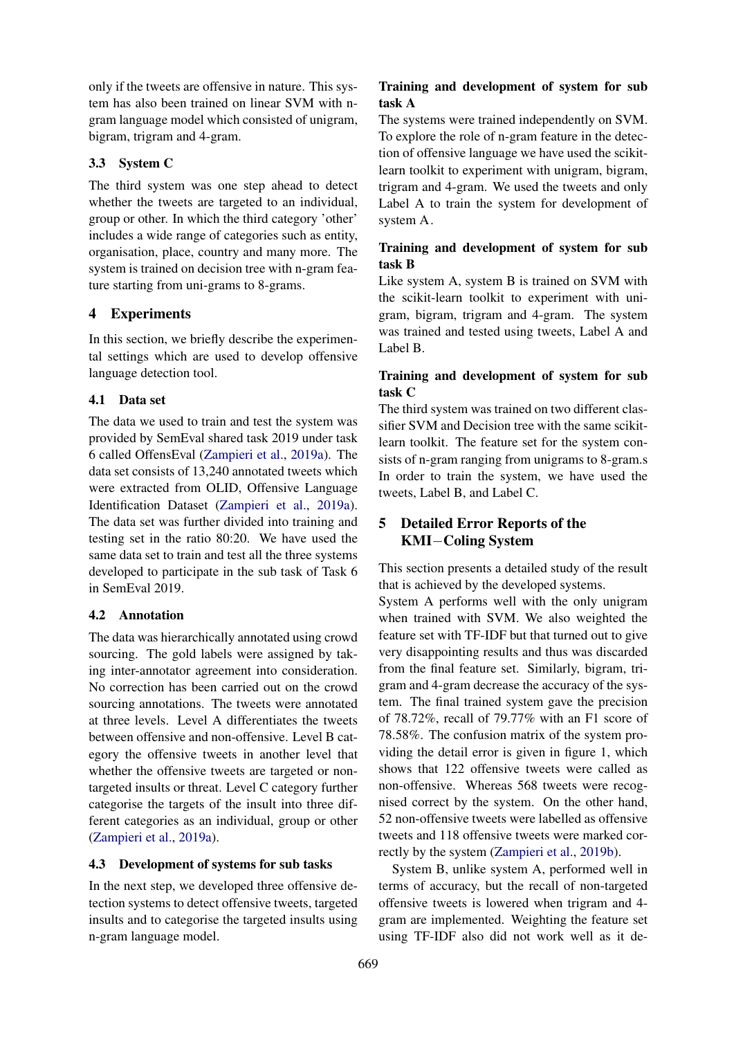only if the tweets are offensive in nature. This system has also been trained on linear SVM with ngram language model which consisted of unigram, bigram, trigram and 4-gram.

## 3.3 System C

The third system was one step ahead to detect whether the tweets are targeted to an individual, group or other. In which the third category 'other' includes a wide range of categories such as entity, organisation, place, country and many more. The system is trained on decision tree with n-gram feature starting from uni-grams to 8-grams.

## 4 Experiments

In this section, we briefly describe the experimental settings which are used to develop offensive language detection tool.

## 4.1 Data set

The data we used to train and test the system was provided by SemEval shared task 2019 under task 6 called OffensEval [\(Zampieri et al.,](#page-3-3) [2019a\)](#page-3-3). The data set consists of 13,240 annotated tweets which were extracted from OLID, Offensive Language Identification Dataset [\(Zampieri et al.,](#page-3-3) [2019a\)](#page-3-3). The data set was further divided into training and testing set in the ratio 80:20. We have used the same data set to train and test all the three systems developed to participate in the sub task of Task 6 in SemEval 2019.

## 4.2 Annotation

The data was hierarchically annotated using crowd sourcing. The gold labels were assigned by taking inter-annotator agreement into consideration. No correction has been carried out on the crowd sourcing annotations. The tweets were annotated at three levels. Level A differentiates the tweets between offensive and non-offensive. Level B category the offensive tweets in another level that whether the offensive tweets are targeted or nontargeted insults or threat. Level C category further categorise the targets of the insult into three different categories as an individual, group or other [\(Zampieri et al.,](#page-3-3) [2019a\)](#page-3-3).

## 4.3 Development of systems for sub tasks

In the next step, we developed three offensive detection systems to detect offensive tweets, targeted insults and to categorise the targeted insults using n-gram language model.

## Training and development of system for sub task A

The systems were trained independently on SVM. To explore the role of n-gram feature in the detection of offensive language we have used the scikitlearn toolkit to experiment with unigram, bigram, trigram and 4-gram. We used the tweets and only Label A to train the system for development of system A.

## Training and development of system for sub task B

Like system A, system B is trained on SVM with the scikit-learn toolkit to experiment with unigram, bigram, trigram and 4-gram. The system was trained and tested using tweets, Label A and Label B.

## Training and development of system for sub task C

The third system was trained on two different classifier SVM and Decision tree with the same scikitlearn toolkit. The feature set for the system consists of n-gram ranging from unigrams to 8-gram.s In order to train the system, we have used the tweets, Label B, and Label C.

## 5 Detailed Error Reports of the KMI−Coling System

This section presents a detailed study of the result that is achieved by the developed systems.

System A performs well with the only unigram when trained with SVM. We also weighted the feature set with TF-IDF but that turned out to give very disappointing results and thus was discarded from the final feature set. Similarly, bigram, trigram and 4-gram decrease the accuracy of the system. The final trained system gave the precision of 78.72%, recall of 79.77% with an F1 score of 78.58%. The confusion matrix of the system providing the detail error is given in figure 1, which shows that 122 offensive tweets were called as non-offensive. Whereas 568 tweets were recognised correct by the system. On the other hand, 52 non-offensive tweets were labelled as offensive tweets and 118 offensive tweets were marked correctly by the system [\(Zampieri et al.,](#page-3-4) [2019b\)](#page-3-4).

System B, unlike system A, performed well in terms of accuracy, but the recall of non-targeted offensive tweets is lowered when trigram and 4 gram are implemented. Weighting the feature set using TF-IDF also did not work well as it de-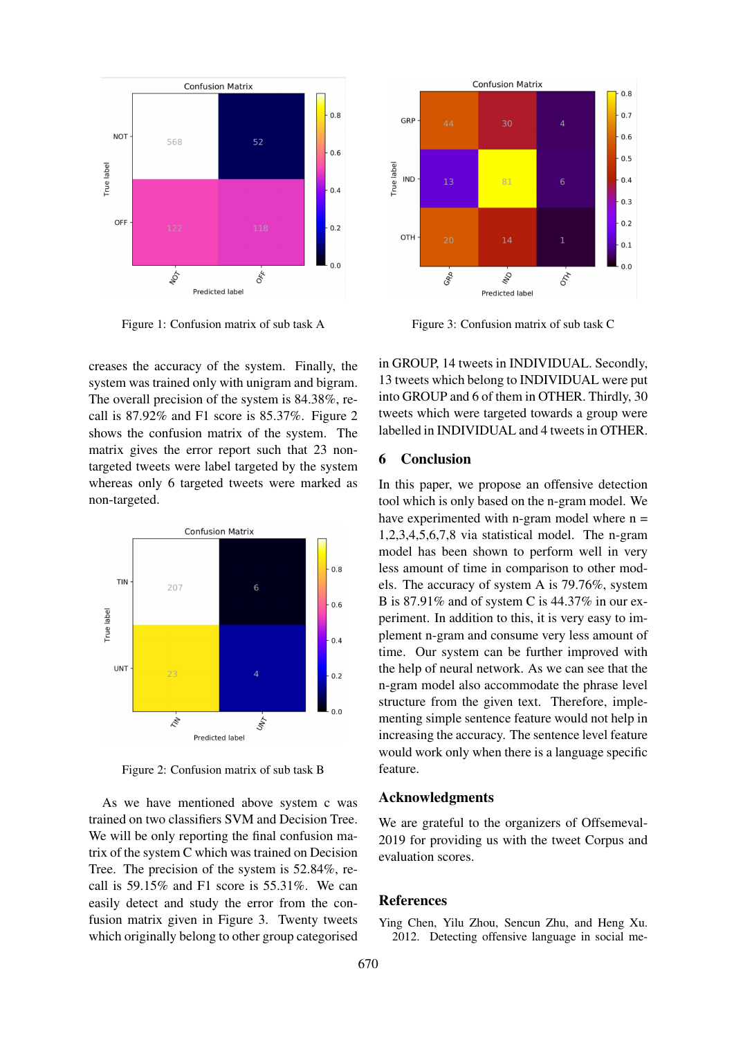

Figure 1: Confusion matrix of sub task A

creases the accuracy of the system. Finally, the system was trained only with unigram and bigram. The overall precision of the system is 84.38%, recall is 87.92% and F1 score is 85.37%. Figure 2 shows the confusion matrix of the system. The matrix gives the error report such that 23 nontargeted tweets were label targeted by the system whereas only 6 targeted tweets were marked as non-targeted.



Figure 2: Confusion matrix of sub task B

As we have mentioned above system c was trained on two classifiers SVM and Decision Tree. We will be only reporting the final confusion matrix of the system C which was trained on Decision Tree. The precision of the system is 52.84%, recall is 59.15% and F1 score is 55.31%. We can easily detect and study the error from the confusion matrix given in Figure 3. Twenty tweets which originally belong to other group categorised



Figure 3: Confusion matrix of sub task C

in GROUP, 14 tweets in INDIVIDUAL. Secondly, 13 tweets which belong to INDIVIDUAL were put into GROUP and 6 of them in OTHER. Thirdly, 30 tweets which were targeted towards a group were labelled in INDIVIDUAL and 4 tweets in OTHER.

### 6 Conclusion

In this paper, we propose an offensive detection tool which is only based on the n-gram model. We have experimented with n-gram model where  $n =$ 1,2,3,4,5,6,7,8 via statistical model. The n-gram model has been shown to perform well in very less amount of time in comparison to other models. The accuracy of system A is 79.76%, system B is 87.91% and of system C is 44.37% in our experiment. In addition to this, it is very easy to implement n-gram and consume very less amount of time. Our system can be further improved with the help of neural network. As we can see that the n-gram model also accommodate the phrase level structure from the given text. Therefore, implementing simple sentence feature would not help in increasing the accuracy. The sentence level feature would work only when there is a language specific feature.

#### Acknowledgments

We are grateful to the organizers of Offsemeval-2019 for providing us with the tweet Corpus and evaluation scores.

### References

<span id="page-2-0"></span>Ying Chen, Yilu Zhou, Sencun Zhu, and Heng Xu. 2012. Detecting offensive language in social me-